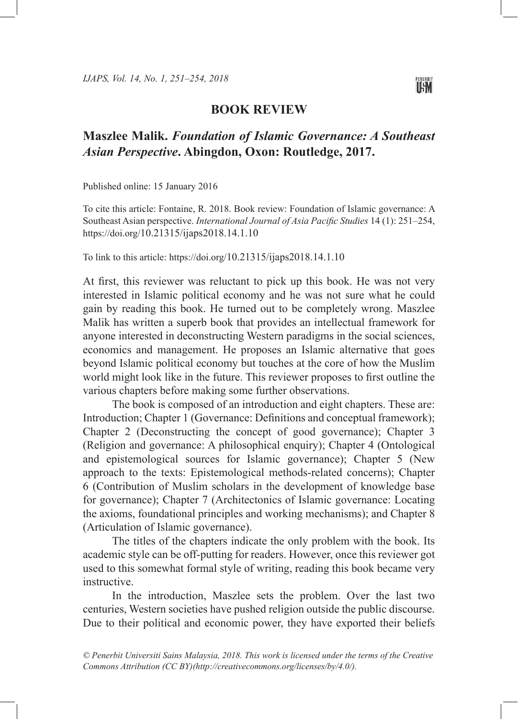

## **BOOK REVIEW**

## **Maszlee Malik.** *Foundation of Islamic Governance: A Southeast Asian Perspective***. Abingdon, Oxon: Routledge, 2017.**

Published online: 15 January 2016

To cite this article: Fontaine, R. 2018. Book review: Foundation of Islamic governance: A Southeast Asian perspective. *International Journal of Asia Pacific Studies* 14 (1): 251–254, https://doi.org/10.21315/ijaps2018.14.1.10

To link to this article: https://doi.org/10.21315/ijaps2018.14.1.10

At first, this reviewer was reluctant to pick up this book. He was not very interested in Islamic political economy and he was not sure what he could gain by reading this book. He turned out to be completely wrong. Maszlee Malik has written a superb book that provides an intellectual framework for anyone interested in deconstructing Western paradigms in the social sciences, economics and management. He proposes an Islamic alternative that goes beyond Islamic political economy but touches at the core of how the Muslim world might look like in the future. This reviewer proposes to first outline the various chapters before making some further observations.

The book is composed of an introduction and eight chapters. These are: Introduction; Chapter 1 (Governance: Definitions and conceptual framework); Chapter 2 (Deconstructing the concept of good governance); Chapter 3 (Religion and governance: A philosophical enquiry); Chapter 4 (Ontological and epistemological sources for Islamic governance); Chapter 5 (New approach to the texts: Epistemological methods-related concerns); Chapter 6 (Contribution of Muslim scholars in the development of knowledge base for governance); Chapter 7 (Architectonics of Islamic governance: Locating the axioms, foundational principles and working mechanisms); and Chapter 8 (Articulation of Islamic governance).

The titles of the chapters indicate the only problem with the book. Its academic style can be off-putting for readers. However, once this reviewer got used to this somewhat formal style of writing, reading this book became very instructive.

In the introduction, Maszlee sets the problem. Over the last two centuries, Western societies have pushed religion outside the public discourse. Due to their political and economic power, they have exported their beliefs

*© Penerbit Universiti Sains Malaysia, 2018. This work is licensed under the terms of the Creative Commons Attribution (CC BY)(http://creativecommons.org/licenses/by/4.0/).*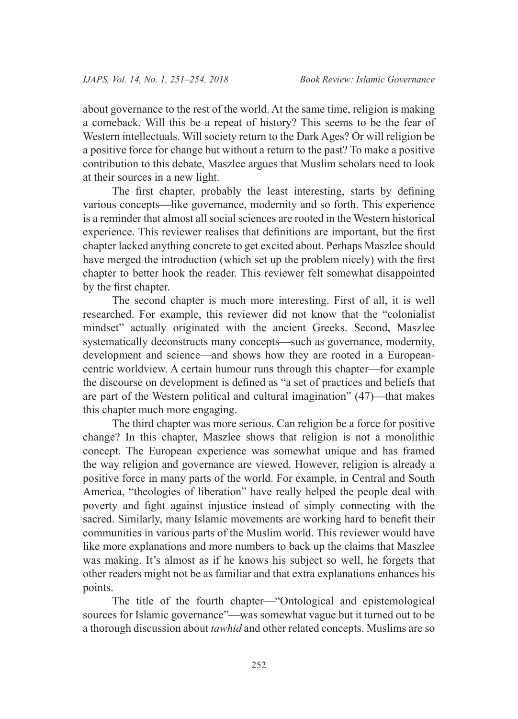about governance to the rest of the world. At the same time, religion is making a comeback. Will this be a repeat of history? This seems to be the fear of Western intellectuals. Will society return to the Dark Ages? Or will religion be a positive force for change but without a return to the past? To make a positive contribution to this debate, Maszlee argues that Muslim scholars need to look at their sources in a new light.

The first chapter, probably the least interesting, starts by defining various concepts—like governance, modernity and so forth. This experience is a reminder that almost all social sciences are rooted in the Western historical experience. This reviewer realises that definitions are important, but the first chapter lacked anything concrete to get excited about. Perhaps Maszlee should have merged the introduction (which set up the problem nicely) with the first chapter to better hook the reader. This reviewer felt somewhat disappointed by the first chapter.

The second chapter is much more interesting. First of all, it is well researched. For example, this reviewer did not know that the "colonialist mindset" actually originated with the ancient Greeks. Second, Maszlee systematically deconstructs many concepts—such as governance, modernity, development and science—and shows how they are rooted in a Europeancentric worldview. A certain humour runs through this chapter—for example the discourse on development is defined as "a set of practices and beliefs that are part of the Western political and cultural imagination"  $(47)$ —that makes this chapter much more engaging.

The third chapter was more serious. Can religion be a force for positive change? In this chapter, Maszlee shows that religion is not a monolithic concept. The European experience was somewhat unique and has framed the way religion and governance are viewed. However, religion is already a positive force in many parts of the world. For example, in Central and South America, "theologies of liberation" have really helped the people deal with poverty and fight against injustice instead of simply connecting with the sacred. Similarly, many Islamic movements are working hard to benefit their communities in various parts of the Muslim world. This reviewer would have like more explanations and more numbers to back up the claims that Maszlee was making. It's almost as if he knows his subject so well, he forgets that other readers might not be as familiar and that extra explanations enhances his points.

The title of the fourth chapter—"Ontological and epistemological sources for Islamic governance"—was somewhat vague but it turned out to be a thorough discussion about *tawhid* and other related concepts. Muslims are so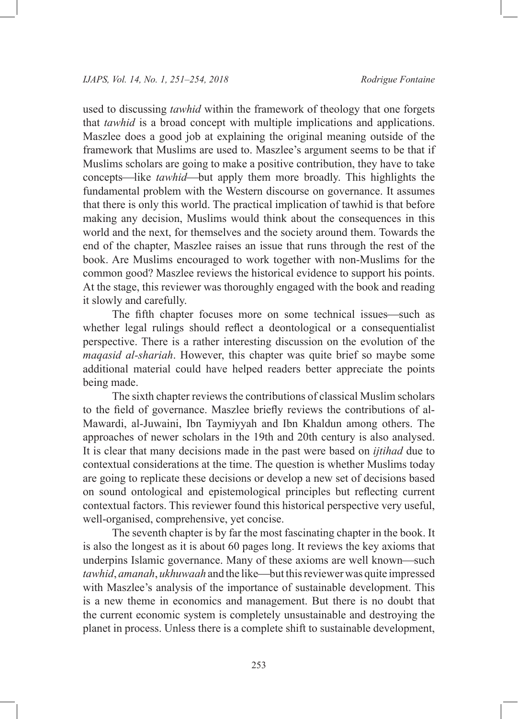used to discussing *tawhid* within the framework of theology that one forgets that *tawhid* is a broad concept with multiple implications and applications. Maszlee does a good job at explaining the original meaning outside of the framework that Muslims are used to. Maszlee's argument seems to be that if Muslims scholars are going to make a positive contribution, they have to take concepts—like *tawhid*—but apply them more broadly. This highlights the fundamental problem with the Western discourse on governance. It assumes that there is only this world. The practical implication of tawhid is that before making any decision, Muslims would think about the consequences in this world and the next, for themselves and the society around them. Towards the end of the chapter, Maszlee raises an issue that runs through the rest of the book. Are Muslims encouraged to work together with non-Muslims for the common good? Maszlee reviews the historical evidence to support his points. At the stage, this reviewer was thoroughly engaged with the book and reading it slowly and carefully.

The fifth chapter focuses more on some technical issues—such as whether legal rulings should reflect a deontological or a consequentialist perspective. There is a rather interesting discussion on the evolution of the *maqasid al-shariah*. However, this chapter was quite brief so maybe some additional material could have helped readers better appreciate the points being made.

The sixth chapter reviews the contributions of classical Muslim scholars to the field of governance. Maszlee briefly reviews the contributions of al-Mawardi, al-Juwaini, Ibn Taymiyyah and Ibn Khaldun among others. The approaches of newer scholars in the 19th and 20th century is also analysed. It is clear that many decisions made in the past were based on *ijtihad* due to contextual considerations at the time. The question is whether Muslims today are going to replicate these decisions or develop a new set of decisions based on sound ontological and epistemological principles but reflecting current contextual factors. This reviewer found this historical perspective very useful, well-organised, comprehensive, yet concise.

The seventh chapter is by far the most fascinating chapter in the book. It is also the longest as it is about 60 pages long. It reviews the key axioms that underpins Islamic governance. Many of these axioms are well known—such *tawhid*, *amanah*, *ukhuwaah* and the like—but this reviewer was quite impressed with Maszlee's analysis of the importance of sustainable development. This is a new theme in economics and management. But there is no doubt that the current economic system is completely unsustainable and destroying the planet in process. Unless there is a complete shift to sustainable development,